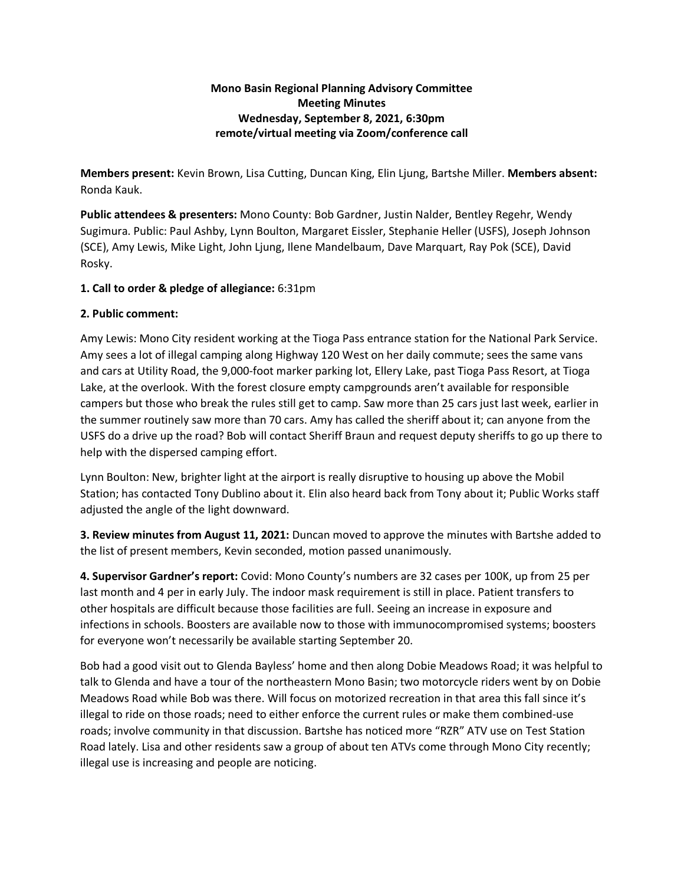# **Mono Basin Regional Planning Advisory Committee Meeting Minutes Wednesday, September 8, 2021, 6:30pm remote/virtual meeting via Zoom/conference call**

**Members present:** Kevin Brown, Lisa Cutting, Duncan King, Elin Ljung, Bartshe Miller. **Members absent:** Ronda Kauk.

**Public attendees & presenters:** Mono County: Bob Gardner, Justin Nalder, Bentley Regehr, Wendy Sugimura. Public: Paul Ashby, Lynn Boulton, Margaret Eissler, Stephanie Heller (USFS), Joseph Johnson (SCE), Amy Lewis, Mike Light, John Ljung, Ilene Mandelbaum, Dave Marquart, Ray Pok (SCE), David Rosky.

# **1. Call to order & pledge of allegiance:** 6:31pm

### **2. Public comment:**

Amy Lewis: Mono City resident working at the Tioga Pass entrance station for the National Park Service. Amy sees a lot of illegal camping along Highway 120 West on her daily commute; sees the same vans and cars at Utility Road, the 9,000-foot marker parking lot, Ellery Lake, past Tioga Pass Resort, at Tioga Lake, at the overlook. With the forest closure empty campgrounds aren't available for responsible campers but those who break the rules still get to camp. Saw more than 25 cars just last week, earlier in the summer routinely saw more than 70 cars. Amy has called the sheriff about it; can anyone from the USFS do a drive up the road? Bob will contact Sheriff Braun and request deputy sheriffs to go up there to help with the dispersed camping effort.

Lynn Boulton: New, brighter light at the airport is really disruptive to housing up above the Mobil Station; has contacted Tony Dublino about it. Elin also heard back from Tony about it; Public Works staff adjusted the angle of the light downward.

**3. Review minutes from August 11, 2021:** Duncan moved to approve the minutes with Bartshe added to the list of present members, Kevin seconded, motion passed unanimously.

**4. Supervisor Gardner's report:** Covid: Mono County's numbers are 32 cases per 100K, up from 25 per last month and 4 per in early July. The indoor mask requirement is still in place. Patient transfers to other hospitals are difficult because those facilities are full. Seeing an increase in exposure and infections in schools. Boosters are available now to those with immunocompromised systems; boosters for everyone won't necessarily be available starting September 20.

Bob had a good visit out to Glenda Bayless' home and then along Dobie Meadows Road; it was helpful to talk to Glenda and have a tour of the northeastern Mono Basin; two motorcycle riders went by on Dobie Meadows Road while Bob was there. Will focus on motorized recreation in that area this fall since it's illegal to ride on those roads; need to either enforce the current rules or make them combined-use roads; involve community in that discussion. Bartshe has noticed more "RZR" ATV use on Test Station Road lately. Lisa and other residents saw a group of about ten ATVs come through Mono City recently; illegal use is increasing and people are noticing.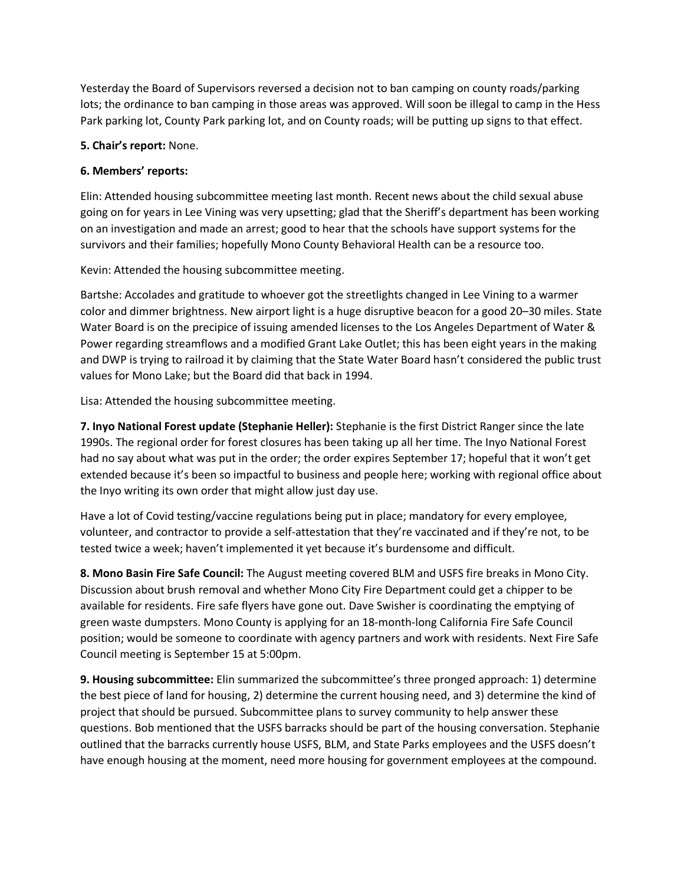Yesterday the Board of Supervisors reversed a decision not to ban camping on county roads/parking lots; the ordinance to ban camping in those areas was approved. Will soon be illegal to camp in the Hess Park parking lot, County Park parking lot, and on County roads; will be putting up signs to that effect.

#### **5. Chair's report:** None.

## **6. Members' reports:**

Elin: Attended housing subcommittee meeting last month. Recent news about the child sexual abuse going on for years in Lee Vining was very upsetting; glad that the Sheriff's department has been working on an investigation and made an arrest; good to hear that the schools have support systems for the survivors and their families; hopefully Mono County Behavioral Health can be a resource too.

Kevin: Attended the housing subcommittee meeting.

Bartshe: Accolades and gratitude to whoever got the streetlights changed in Lee Vining to a warmer color and dimmer brightness. New airport light is a huge disruptive beacon for a good 20–30 miles. State Water Board is on the precipice of issuing amended licenses to the Los Angeles Department of Water & Power regarding streamflows and a modified Grant Lake Outlet; this has been eight years in the making and DWP is trying to railroad it by claiming that the State Water Board hasn't considered the public trust values for Mono Lake; but the Board did that back in 1994.

Lisa: Attended the housing subcommittee meeting.

**7. Inyo National Forest update (Stephanie Heller):** Stephanie is the first District Ranger since the late 1990s. The regional order for forest closures has been taking up all her time. The Inyo National Forest had no say about what was put in the order; the order expires September 17; hopeful that it won't get extended because it's been so impactful to business and people here; working with regional office about the Inyo writing its own order that might allow just day use.

Have a lot of Covid testing/vaccine regulations being put in place; mandatory for every employee, volunteer, and contractor to provide a self-attestation that they're vaccinated and if they're not, to be tested twice a week; haven't implemented it yet because it's burdensome and difficult.

**8. Mono Basin Fire Safe Council:** The August meeting covered BLM and USFS fire breaks in Mono City. Discussion about brush removal and whether Mono City Fire Department could get a chipper to be available for residents. Fire safe flyers have gone out. Dave Swisher is coordinating the emptying of green waste dumpsters. Mono County is applying for an 18-month-long California Fire Safe Council position; would be someone to coordinate with agency partners and work with residents. Next Fire Safe Council meeting is September 15 at 5:00pm.

**9. Housing subcommittee:** Elin summarized the subcommittee's three pronged approach: 1) determine the best piece of land for housing, 2) determine the current housing need, and 3) determine the kind of project that should be pursued. Subcommittee plans to survey community to help answer these questions. Bob mentioned that the USFS barracks should be part of the housing conversation. Stephanie outlined that the barracks currently house USFS, BLM, and State Parks employees and the USFS doesn't have enough housing at the moment, need more housing for government employees at the compound.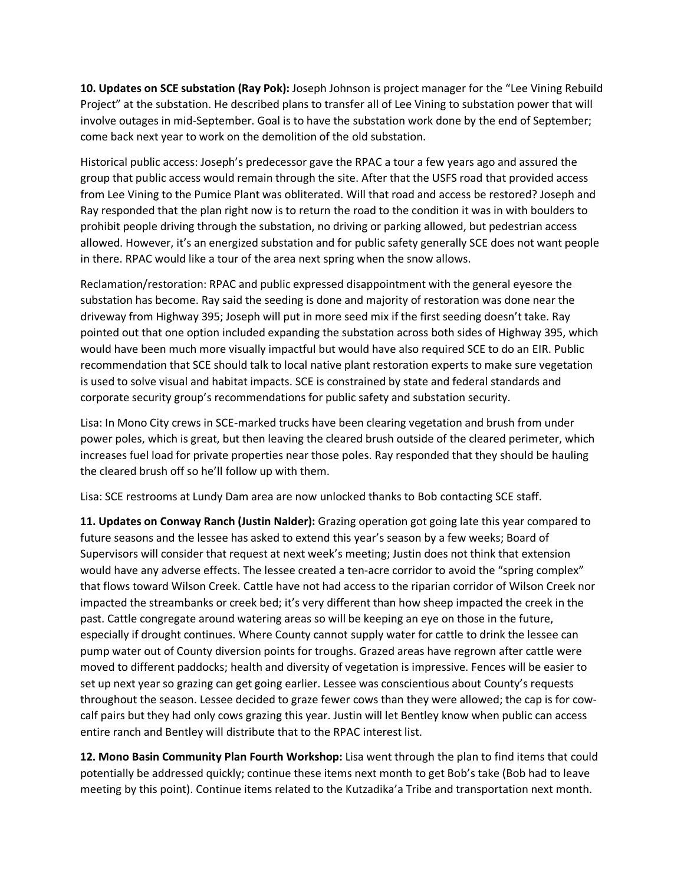**10. Updates on SCE substation (Ray Pok):** Joseph Johnson is project manager for the "Lee Vining Rebuild Project" at the substation. He described plans to transfer all of Lee Vining to substation power that will involve outages in mid-September. Goal is to have the substation work done by the end of September; come back next year to work on the demolition of the old substation.

Historical public access: Joseph's predecessor gave the RPAC a tour a few years ago and assured the group that public access would remain through the site. After that the USFS road that provided access from Lee Vining to the Pumice Plant was obliterated. Will that road and access be restored? Joseph and Ray responded that the plan right now is to return the road to the condition it was in with boulders to prohibit people driving through the substation, no driving or parking allowed, but pedestrian access allowed. However, it's an energized substation and for public safety generally SCE does not want people in there. RPAC would like a tour of the area next spring when the snow allows.

Reclamation/restoration: RPAC and public expressed disappointment with the general eyesore the substation has become. Ray said the seeding is done and majority of restoration was done near the driveway from Highway 395; Joseph will put in more seed mix if the first seeding doesn't take. Ray pointed out that one option included expanding the substation across both sides of Highway 395, which would have been much more visually impactful but would have also required SCE to do an EIR. Public recommendation that SCE should talk to local native plant restoration experts to make sure vegetation is used to solve visual and habitat impacts. SCE is constrained by state and federal standards and corporate security group's recommendations for public safety and substation security.

Lisa: In Mono City crews in SCE-marked trucks have been clearing vegetation and brush from under power poles, which is great, but then leaving the cleared brush outside of the cleared perimeter, which increases fuel load for private properties near those poles. Ray responded that they should be hauling the cleared brush off so he'll follow up with them.

Lisa: SCE restrooms at Lundy Dam area are now unlocked thanks to Bob contacting SCE staff.

**11. Updates on Conway Ranch (Justin Nalder):** Grazing operation got going late this year compared to future seasons and the lessee has asked to extend this year's season by a few weeks; Board of Supervisors will consider that request at next week's meeting; Justin does not think that extension would have any adverse effects. The lessee created a ten-acre corridor to avoid the "spring complex" that flows toward Wilson Creek. Cattle have not had access to the riparian corridor of Wilson Creek nor impacted the streambanks or creek bed; it's very different than how sheep impacted the creek in the past. Cattle congregate around watering areas so will be keeping an eye on those in the future, especially if drought continues. Where County cannot supply water for cattle to drink the lessee can pump water out of County diversion points for troughs. Grazed areas have regrown after cattle were moved to different paddocks; health and diversity of vegetation is impressive. Fences will be easier to set up next year so grazing can get going earlier. Lessee was conscientious about County's requests throughout the season. Lessee decided to graze fewer cows than they were allowed; the cap is for cowcalf pairs but they had only cows grazing this year. Justin will let Bentley know when public can access entire ranch and Bentley will distribute that to the RPAC interest list.

**12. Mono Basin Community Plan Fourth Workshop:** Lisa went through the plan to find items that could potentially be addressed quickly; continue these items next month to get Bob's take (Bob had to leave meeting by this point). Continue items related to the Kutzadika'a Tribe and transportation next month.